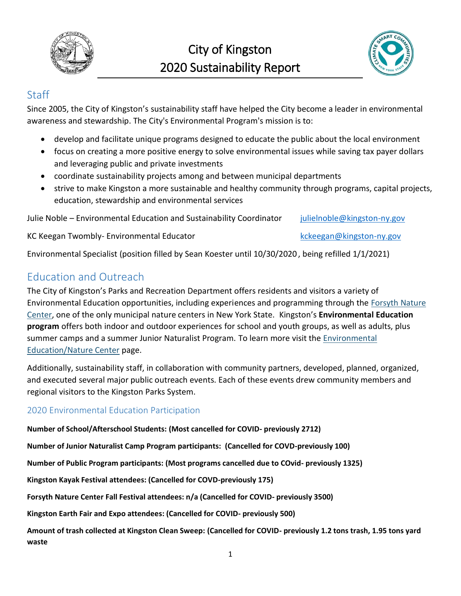



#### **Staff**

Since 2005, the City of Kingston's sustainability staff have helped the City become a leader in environmental awareness and stewardship. The City's Environmental Program's mission is to:

- develop and facilitate unique programs designed to educate the public about the local environment
- focus on creating a more positive energy to solve environmental issues while saving tax payer dollars and leveraging public and private investments
- coordinate sustainability projects among and between municipal departments
- strive to make Kingston a more sustainable and healthy community through programs, capital projects, education, stewardship and environmental services

Julie Noble – Environmental Education and Sustainability Coordinator [julielnoble@kingston-ny.gov](mailto:julielnoble@kingston-ny.gov)

KC Keegan Twombly- Environmental Educator and the state of the [kckeegan@kingston-ny.gov](mailto:kckeegan@kingston-ny.gov)

Environmental Specialist (position filled by Sean Koester until 10/30/2020 , being refilled 1/1/2021)

### Education and Outreach

The City of Kingston's Parks and Recreation Department offers residents and visitors a variety of Environmental Education opportunities, including experiences and programming through the [Forsyth Nature](http://www.forsythnaturecenter.org/)  [Center,](http://www.forsythnaturecenter.org/) one of the only municipal nature centers in New York State. Kingston's **Environmental Education program** offers both indoor and outdoor experiences for school and youth groups, as well as adults, plus summer camps and a summer Junior Naturalist Program. To learn more visit the *Environmental* [Education/Nature Center](https://www.kingston-ny.gov/environment) page.

Additionally, sustainability staff, in collaboration with community partners, developed, planned, organized, and executed several major public outreach events. Each of these events drew community members and regional visitors to the Kingston Parks System.

#### 2020 Environmental Education Participation

**Number of School/Afterschool Students: (Most cancelled for COVID- previously 2712)**

**Number of Junior Naturalist Camp Program participants: (Cancelled for COVD-previously 100)**

**Number of Public Program participants: (Most programs cancelled due to COvid- previously 1325)**

**Kingston Kayak Festival attendees: (Cancelled for COVD-previously 175)**

**Forsyth Nature Center Fall Festival attendees: n/a (Cancelled for COVID- previously 3500)**

**Kingston Earth Fair and Expo attendees: (Cancelled for COVID- previously 500)**

**Amount of trash collected at Kingston Clean Sweep: (Cancelled for COVID- previously 1.2 tons trash, 1.95 tons yard waste**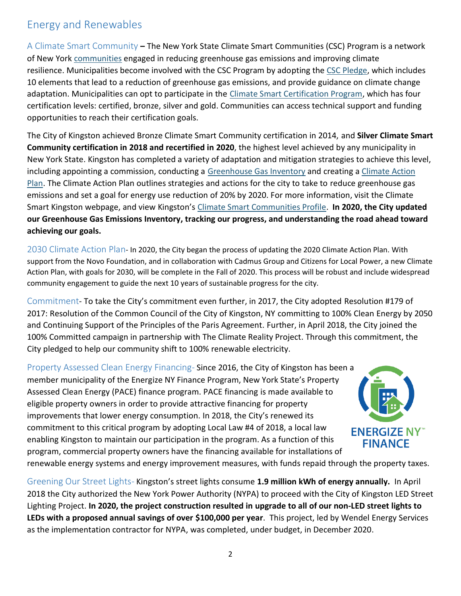# Energy and Renewables

A Climate Smart Community **–** The New York State Climate Smart Communities (CSC) Program is a network of New York [communities](http://www.dec.ny.gov/energy/56876.html) engaged in reducing greenhouse gas emissions and improving climate resilience. Municipalities become involved with the CSC Program by adopting the [CSC Pledge,](http://www.dec.ny.gov/energy/65494.html) which includes 10 elements that lead to a reduction of greenhouse gas emissions, and provide guidance on climate change adaptation. Municipalities can opt to participate in the [Climate Smart Certification Program,](http://www.dec.ny.gov/energy/50845.html) which has four certification levels: certified, bronze, silver and gold. Communities can access technical support and funding opportunities to reach their certification goals.

The City of Kingston achieved Bronze Climate Smart Community certification in 2014, and **Silver Climate Smart Community certification in 2018 and recertified in 2020**, the highest level achieved by any municipality in New York State. Kingston has completed a variety of adaptation and mitigation strategies to achieve this level, including appointing a commission, conducting a [Greenhouse Gas Inventory](https://kingston-ny.gov/filestorage/8463/10432/10440/10458/Final_CAP_-_Community_Greenhouse_Gas_Inventory.pdf) and creating a Climate Action [Plan.](https://kingston-ny.gov/filestorage/8463/10432/10440/10458/CAP_-_Updated_for_PS_9-27-12_(1).pdf) The Climate Action Plan outlines strategies and actions for the city to take to reduce greenhouse gas emissions and set a goal for energy use reduction of 20% by 2020. For more information, visit the Climate Smart Kingston webpage, and view Kingston's [Climate Smart Communities Profile.](https://kingston-ny.gov/filestorage/8463/10432/10440/10458/City_of_Kingston_-_Climate_Smart_Community_Profile.pdf) **In 2020, the City updated our Greenhouse Gas Emissions Inventory, tracking our progress, and understanding the road ahead toward achieving our goals.**

2030 Climate Action Plan- In 2020, the City began the process of updating the 2020 Climate Action Plan. With support from the Novo Foundation, and in collaboration with Cadmus Group and Citizens for Local Power, a new Climate Action Plan, with goals for 2030, will be complete in the Fall of 2020. This process will be robust and include widespread community engagement to guide the next 10 years of sustainable progress for the city.

Commitment- To take the City's commitment even further, in 2017, the City adopted Resolution #179 of 2017: Resolution of the Common Council of the City of Kingston, NY committing to 100% Clean Energy by 2050 and Continuing Support of the Principles of the Paris Agreement. Further, in April 2018, the City joined the 100% Committed campaign in partnership with The Climate Reality Project. Through this commitment, the City pledged to help our community shift to 100% renewable electricity.

Property Assessed Clean Energy Financing-Since 2016, the City of Kingston has been a member municipality of the Energize NY Finance Program, New York State's Property Assessed Clean Energy (PACE) finance program. PACE financing is made available to eligible property owners in order to provide attractive financing for property improvements that lower energy consumption. In 2018, the City's renewed its commitment to this critical program by adopting Local Law #4 of 2018, a local law enabling Kingston to maintain our participation in the program. As a function of this program, commercial property owners have the financing available for installations of



renewable energy systems and energy improvement measures, with funds repaid through the property taxes.

Greening Our Street Lights- Kingston's street lights consume **1.9 million kWh of energy annually.** In April 2018 the City authorized the New York Power Authority (NYPA) to proceed with the City of Kingston LED Street Lighting Project. **In 2020, the project construction resulted in upgrade to all of our non-LED street lights to LEDs with a proposed annual savings of over \$100,000 per year**. This project, led by Wendel Energy Services as the implementation contractor for NYPA, was completed, under budget, in December 2020.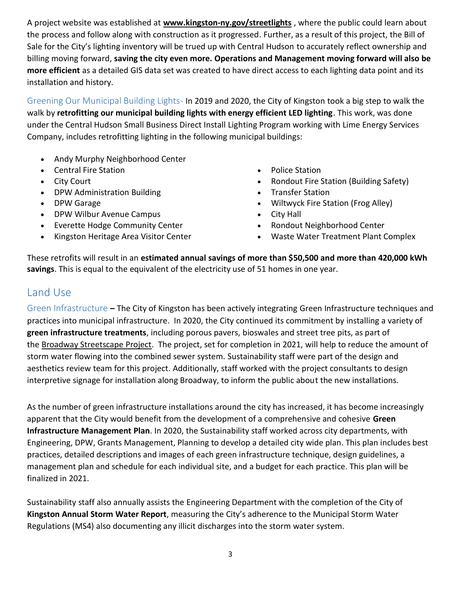A project website was established at **[www.kingston-ny.gov/streetlights](http://www.kingston-ny.gov/streetlights)** , where the public could learn about the process and follow along with construction as it progressed. Further, as a result of this project, the Bill of Sale for the City's lighting inventory will be trued up with Central Hudson to accurately reflect ownership and billing moving forward, **saving the city even more. Operations and Management moving forward will also be more efficient** as a detailed GIS data set was created to have direct access to each lighting data point and its installation and history.

Greening Our Municipal Building Lights- In 2019 and 2020, the City of Kingston took a big step to walk the walk by **retrofitting our municipal building lights with energy efficient LED lighting**. This work, was done under the Central Hudson Small Business Direct Install Lighting Program working with Lime Energy Services Company, includes retrofitting lighting in the following municipal buildings:

- Andy Murphy Neighborhood Center
- Central Fire Station
- City Court
- DPW Administration Building
- DPW Garage
- DPW Wilbur Avenue Campus
- Everette Hodge Community Center
- Kingston Heritage Area Visitor Center
- Police Station
- Rondout Fire Station (Building Safety)
- Transfer Station
- Wiltwyck Fire Station (Frog Alley)
- City Hall
- Rondout Neighborhood Center
- Waste Water Treatment Plant Complex

These retrofits will result in an **estimated annual savings of more than \$50,500 and more than 420,000 kWh savings**. This is equal to the equivalent of the electricity use of 51 homes in one year.

### Land Use

Green Infrastructure **–** The City of Kingston has been actively integrating Green Infrastructure techniques and practices into municipal infrastructure. In 2020, the City continued its commitment by installing a variety of **green infrastructure treatments**, including porous pavers, bioswales and street tree pits, as part of the [Broadway Streetscape Project.](https://www.kingston-ny.gov/broadwaystreetscapeproject) The project, set for completion in 2021, will help to reduce the amount of storm water flowing into the combined sewer system. Sustainability staff were part of the design and aesthetics review team for this project. Additionally, staff worked with the project consultants to design interpretive signage for installation along Broadway, to inform the public about the new installations.

As the number of green infrastructure installations around the city has increased, it has become increasingly apparent that the City would benefit from the development of a comprehensive and cohesive **Green Infrastructure Management Plan**. In 2020, the Sustainability staff worked across city departments, with Engineering, DPW, Grants Management, Planning to develop a detailed city wide plan. This plan includes best practices, detailed descriptions and images of each green infrastructure technique, design guidelines, a management plan and schedule for each individual site, and a budget for each practice. This plan will be finalized in 2021.

Sustainability staff also annually assists the Engineering Department with the completion of the City of **Kingston Annual Storm Water Report**, measuring the City's adherence to the Municipal Storm Water Regulations (MS4) also documenting any illicit discharges into the storm water system.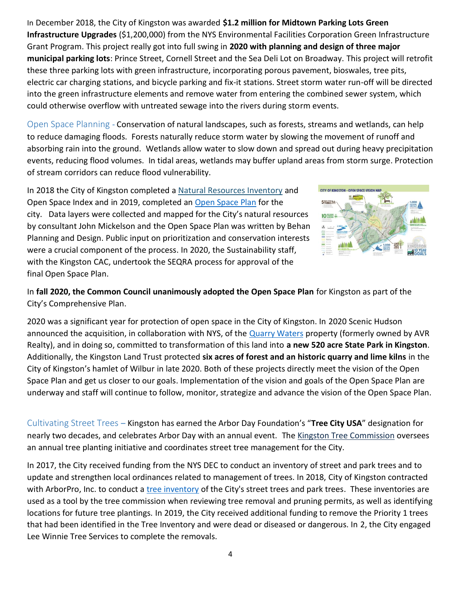In December 2018, the City of Kingston was awarded **\$1.2 million for Midtown Parking Lots Green Infrastructure Upgrades** (\$1,200,000) from the NYS Environmental Facilities Corporation Green Infrastructure Grant Program. This project really got into full swing in **2020 with planning and design of three major municipal parking lots**: Prince Street, Cornell Street and the Sea Deli Lot on Broadway. This project will retrofit these three parking lots with green infrastructure, incorporating porous pavement, bioswales, tree pits, electric car charging stations, and bicycle parking and fix-it stations. Street storm water run-off will be directed into the green infrastructure elements and remove water from entering the combined sewer system, which could otherwise overflow with untreated sewage into the rivers during storm events.

Open Space Planning - Conservation of natural landscapes, such as forests, streams and wetlands, can help to reduce damaging floods. Forests naturally reduce storm water by slowing the movement of runoff and absorbing rain into the ground. Wetlands allow water to slow down and spread out during heavy precipitation events, reducing flood volumes. In tidal areas, wetlands may buffer upland areas from storm surge. Protection of stream corridors can reduce flood vulnerability.

In 2018 the City of Kingston completed a [Natural Resources Inventory](https://www.kingston-ny.gov/nri) and Open Space Index and in 2019, completed a[n Open Space Plan](https://www.kingston-ny.gov/filestorage/8399/8491/8495/10452/Kingston_Open_Space_Plan_FINAL_JULY_2019.pdf) for the city. Data layers were collected and mapped for the City's natural resources by consultant John Mickelson and the Open Space Plan was written by Behan Planning and Design. Public input on prioritization and conservation interests were a crucial component of the process. In 2020, the Sustainability staff, with the Kingston CAC, undertook the SEQRA process for approval of the final Open Space Plan.



In **fall 2020, the Common Council unanimously adopted the Open Space Plan** for Kingston as part of the City's Comprehensive Plan.

2020 was a significant year for protection of open space in the City of Kingston. In 2020 Scenic Hudson announced the acquisition, in collaboration with NYS, of the **Quarry Waters property (formerly owned by AVR** Realty), and in doing so, committed to transformation of this land into **a new 520 acre State Park in Kingston**. Additionally, the Kingston Land Trust protected **six acres of forest and an historic quarry and lime kilns** in the City of Kingston's hamlet of Wilbur in late 2020. Both of these projects directly meet the vision of the Open Space Plan and get us closer to our goals. Implementation of the vision and goals of the Open Space Plan are underway and staff will continue to follow, monitor, strategize and advance the vision of the Open Space Plan.

Cultivating Street Trees – Kingston has earned the Arbor Day Foundation's "**Tree City USA**" designation for nearly two decades, and celebrates Arbor Day with an annual event. The [Kingston Tree Commission](https://www.kingston-ny.gov/content/8399/8491/8505/default.aspx) oversees an annual tree planting initiative and coordinates street tree management for the City.

In 2017, the City received funding from the NYS DEC to conduct an inventory of street and park trees and to update and strengthen local ordinances related to management of trees. In 2018, City of Kingston contracted with ArborPro, Inc. to conduct a [tree inventory](https://www.kingston-ny.gov/filestorage/8399/8491/8505/Inventory_Summary_Report.pdf) of the City's street trees and park trees. These inventories are used as a tool by the tree commission when reviewing tree removal and pruning permits, as well as identifying locations for future tree plantings. In 2019, the City received additional funding to remove the Priority 1 trees that had been identified in the Tree Inventory and were dead or diseased or dangerous. In 2, the City engaged Lee Winnie Tree Services to complete the removals.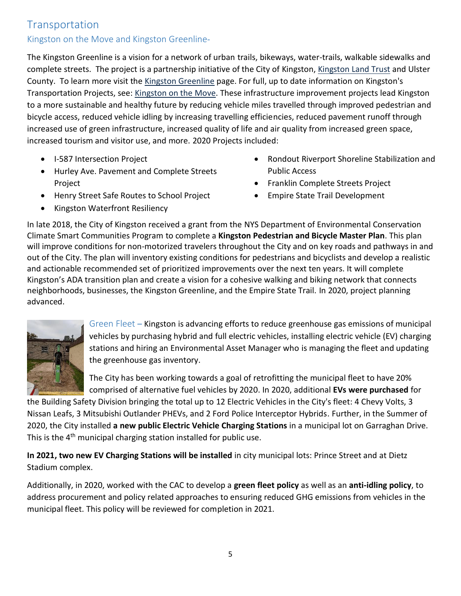### Transportation

#### Kingston on the Move and Kingston Greenline-

The Kingston Greenline is a vision for a network of urban trails, bikeways, water-trails, walkable sidewalks and complete streets. The project is a partnership initiative of the City of Kingston, [Kingston Land Trust](http://www.kingstonlandtrust.org/programs/greenline/) and Ulster County. To learn more visit the [Kingston Greenline](https://www.kingston-ny.gov/kingstongreenline) page. For full, up to date information on Kingston's Transportation Projects, see: [Kingston on the Move.](https://www.kingston-ny.gov/kingstononthemove) These infrastructure improvement projects lead Kingston to a more sustainable and healthy future by reducing vehicle miles travelled through improved pedestrian and bicycle access, reduced vehicle idling by increasing travelling efficiencies, reduced pavement runoff through increased use of green infrastructure, increased quality of life and air quality from increased green space, increased tourism and visitor use, and more. 2020 Projects included:

- I-587 Intersection Project
- Hurley Ave. Pavement and Complete Streets Project
- Henry Street Safe Routes to School Project
- Kingston Waterfront Resiliency
- Rondout Riverport Shoreline Stabilization and Public Access
- Franklin Complete Streets Project
- Empire State Trail Development

In late 2018, the City of Kingston received a grant from the NYS Department of Environmental Conservation Climate Smart Communities Program to complete a **Kingston Pedestrian and Bicycle Master Plan**. This plan will improve conditions for non-motorized travelers throughout the City and on key roads and pathways in and out of the City. The plan will inventory existing conditions for pedestrians and bicyclists and develop a realistic and actionable recommended set of prioritized improvements over the next ten years. It will complete Kingston's ADA transition plan and create a vision for a cohesive walking and biking network that connects neighborhoods, businesses, the Kingston Greenline, and the Empire State Trail. In 2020, project planning advanced.



Green Fleet – Kingston is advancing efforts to reduce greenhouse gas emissions of municipal vehicles by purchasing hybrid and full electric vehicles, installing electric vehicle (EV) charging stations and hiring an Environmental Asset Manager who is managing the fleet and updating the greenhouse gas inventory.

The City has been working towards a goal of retrofitting the municipal fleet to have 20% comprised of alternative fuel vehicles by 2020. In 2020, additional **EVs were purchased** for

the Building Safety Division bringing the total up to 12 Electric Vehicles in the City's fleet: 4 Chevy Volts, 3 Nissan Leafs, 3 Mitsubishi Outlander PHEVs, and 2 Ford Police Interceptor Hybrids. Further, in the Summer of 2020, the City installed **a new public Electric Vehicle Charging Stations** in a municipal lot on Garraghan Drive. This is the 4<sup>th</sup> municipal charging station installed for public use.

**In 2021, two new EV Charging Stations will be installed** in city municipal lots: Prince Street and at Dietz Stadium complex.

Additionally, in 2020, worked with the CAC to develop a **green fleet policy** as well as an **anti-idling policy**, to address procurement and policy related approaches to ensuring reduced GHG emissions from vehicles in the municipal fleet. This policy will be reviewed for completion in 2021.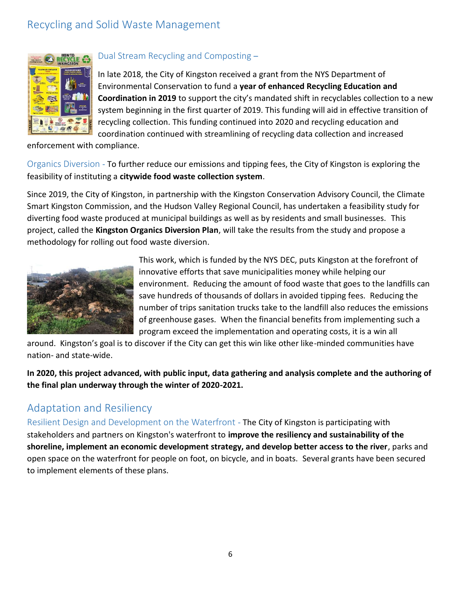# Recycling and Solid Waste Management



#### Dual Stream Recycling and Composting –

In late 2018, the City of Kingston received a grant from the NYS Department of Environmental Conservation to fund a **year of enhanced Recycling Education and Coordination in 2019** to support the city's mandated shift in recyclables collection to a new system beginning in the first quarter of 2019. This funding will aid in effective transition of recycling collection. This funding continued into 2020 and recycling education and coordination continued with streamlining of recycling data collection and increased

enforcement with compliance.

Organics Diversion - To further reduce our emissions and tipping fees, the City of Kingston is exploring the feasibility of instituting a **citywide food waste collection system**.

Since 2019, the City of Kingston, in partnership with the Kingston Conservation Advisory Council, the Climate Smart Kingston Commission, and the Hudson Valley Regional Council, has undertaken a feasibility study for diverting food waste produced at municipal buildings as well as by residents and small businesses. This project, called the **Kingston Organics Diversion Plan**, will take the results from the study and propose a methodology for rolling out food waste diversion.



This work, which is funded by the NYS DEC, puts Kingston at the forefront of innovative efforts that save municipalities money while helping our environment. Reducing the amount of food waste that goes to the landfills can save hundreds of thousands of dollars in avoided tipping fees. Reducing the number of trips sanitation trucks take to the landfill also reduces the emissions of greenhouse gases. When the financial benefits from implementing such a program exceed the implementation and operating costs, it is a win all

around. Kingston's goal is to discover if the City can get this win like other like-minded communities have nation- and state-wide.

**In 2020, this project advanced, with public input, data gathering and analysis complete and the authoring of the final plan underway through the winter of 2020-2021.**

### Adaptation and Resiliency

Resilient Design and Development on the Waterfront - The City of Kingston is participating with stakeholders and partners on Kingston's waterfront to **improve the resiliency and sustainability of the shoreline, implement an economic development strategy, and develop better access to the river**, parks and open space on the waterfront for people on foot, on bicycle, and in boats. Several grants have been secured to implement elements of these plans.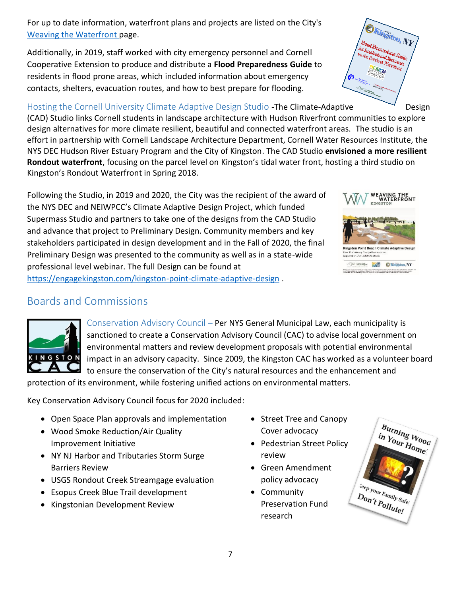For up to date information, waterfront plans and projects are listed on the City's [Weaving the Waterfront](https://www.kingston-ny.gov/weavingthewaterfront) page.

Additionally, in 2019, staff worked with city emergency personnel and Cornell Cooperative Extension to produce and distribute a **Flood Preparedness Guide** to residents in flood prone areas, which included information about emergency contacts, shelters, evacuation routes, and how to best prepare for flooding.

#### Hosting the Cornell University Climate Adaptive Design Studio -The Climate-Adaptive Design

[\(CAD\) Studio](https://wri.cals.cornell.edu/hudson-river-estuary/climate-change-hudson-river-estuary/climate-adaptive-design) links Cornell students in landscape architecture with Hudson Riverfront communities to explore design alternatives for more climate resilient, beautiful and connected waterfront areas. The studio is an effort in partnership with Cornell Landscape Architecture Department, Cornell Water Resources Institute, the NYS DEC Hudson River Estuary Program and the City of Kingston. The CAD Studio **envisioned a more resilient Rondout waterfront**, focusing on the parcel level on Kingston's tidal water front, hosting a third studio on Kingston's Rondout Waterfront in Spring 2018.

Following the Studio, in 2019 and 2020, the City was the recipient of the award of the NYS DEC and NEIWPCC's Climate Adaptive Design Project, which funded Supermass Studio and partners to take one of the designs from the CAD Studio and advance that project to Preliminary Design. Community members and key stakeholders participated in design development and in the Fall of 2020, the final Preliminary Design was presented to the community as well as in a state-wide professional level webinar. The full Design can be found at <https://engagekingston.com/kingston-point-climate-adaptive-design> .

## Boards and Commissions

KINGSTON

Conservation Advisory Council – Per NYS General Municipal Law, each municipality is sanctioned to create a Conservation Advisory Council (CAC) to advise local government on environmental matters and review development proposals with potential environmental impact in an advisory capacity. Since 2009, the Kingston CAC has worked as a volunteer board to ensure the conservation of the City's natural resources and the enhancement and

protection of its environment, while fostering unified actions on environmental matters.

Key Conservation Advisory Council focus for 2020 included:

- Open Space Plan approvals and implementation
- Wood Smoke Reduction/Air Quality Improvement Initiative
- NY NJ Harbor and Tributaries Storm Surge Barriers Review
- USGS Rondout Creek Streamgage evaluation
- Esopus Creek Blue Trail development
- Kingstonian Development Review
- Street Tree and Canopy Cover advocacy
- Pedestrian Street Policy review
- Green Amendment policy advocacy
- Community Preservation Fund research





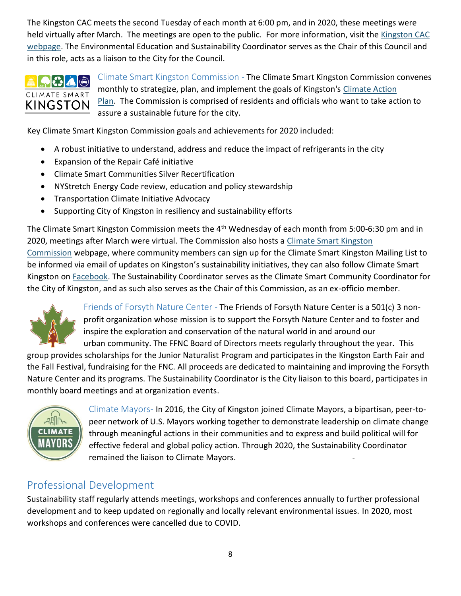The Kingston CAC meets the second Tuesday of each month at 6:00 pm, and in 2020, these meetings were held virtually after March. The meetings are open to the public. For more information, visit the [Kingston CAC](https://kingston-ny.gov/kingstoncac)  [webpage.](https://kingston-ny.gov/kingstoncac) The Environmental Education and Sustainability Coordinator serves as the Chair of this Council and in this role, acts as a liaison to the City for the Council.

### $|3$   $\triangle$   $|$   $\odot$   $|$ CLIMATE SMART **KINGSTON**

Climate Smart Kingston Commission - The Climate Smart Kingston Commission convenes monthly to strategize, plan, and implement the goals of Kingston's Climate Action [Plan.](https://kingston-ny.gov/filestorage/8463/10432/10440/10458/CAP_-_Updated_for_PS_9-27-12_%281%29.pdf) The Commission is comprised of residents and officials who want to take action to assure a sustainable future for the city.

Key Climate Smart Kingston Commission goals and achievements for 2020 included:

- A robust initiative to understand, address and reduce the impact of refrigerants in the city
- Expansion of the Repair Café initiative
- Climate Smart Communities Silver Recertification
- NYStretch Energy Code review, education and policy stewardship
- **•** Transportation Climate Initiative Advocacy
- Supporting City of Kingston in resiliency and sustainability efforts

The Climate Smart Kingston Commission meets the 4<sup>th</sup> Wednesday of each month from 5:00-6:30 pm and in 2020, meetings after March were virtual. The Commission also hosts a [Climate Smart Kingston](https://kingston-ny.gov/content/8399/8491/15147/10454/default.aspx)  [Commission](https://kingston-ny.gov/content/8399/8491/15147/10454/default.aspx) webpage, where community members can sign up for the Climate Smart Kingston Mailing List to be informed via email of updates on Kingston's sustainability initiatives, they can also follow Climate Smart Kingston on [Facebook.](https://www.facebook.com/climatesmartkingstonny/) The Sustainability Coordinator serves as the Climate Smart Community Coordinator for the City of Kingston, and as such also serves as the Chair of this Commission, as an ex-officio member.



Friends of Forsyth Nature Center - The Friends of Forsyth Nature Center is a 501(c) 3 nonprofit organization whose mission is to support the Forsyth Nature Center and to foster and inspire the exploration and conservation of the natural world in and around our urban community. The FFNC Board of Directors meets regularly throughout the year. This

group provides scholarships for the Junior Naturalist Program and participates in the Kingston Earth Fair and the Fall Festival, fundraising for the FNC. All proceeds are dedicated to maintaining and improving the Forsyth Nature Center and its programs. The Sustainability Coordinator is the City liaison to this board, participates in monthly board meetings and at organization events.



Climate Mayors- In 2016, the City of Kingston joined Climate Mayors, a bipartisan, peer-topeer network of U.S. Mayors working together to demonstrate leadership on climate change through meaningful actions in their communities and to express and build political will for effective federal and global policy action. Through 2020, the Sustainability Coordinator remained the liaison to Climate Mayors.

# Professional Development

Sustainability staff regularly attends meetings, workshops and conferences annually to further professional development and to keep updated on regionally and locally relevant environmental issues. In 2020, most workshops and conferences were cancelled due to COVID.